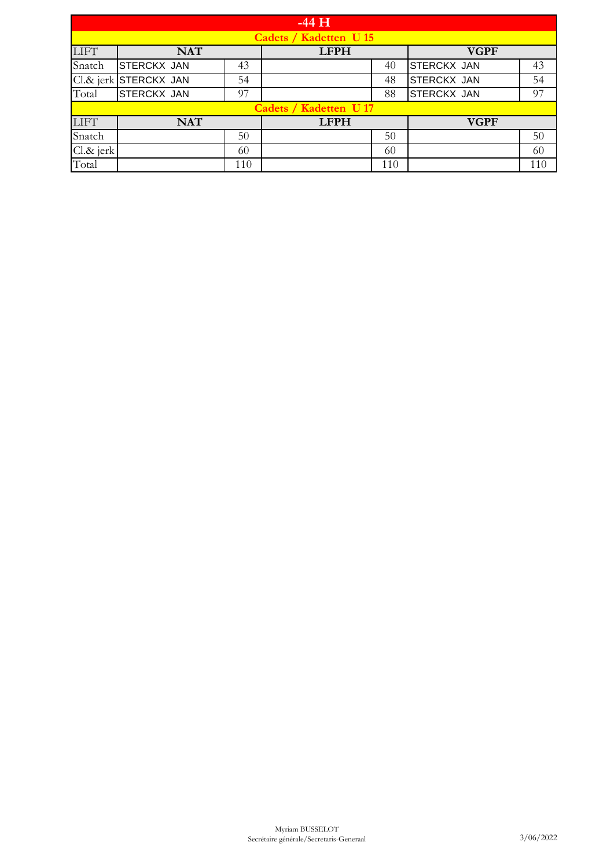|             |                        |     | $-44$ H                       |     |                    |     |  |  |
|-------------|------------------------|-----|-------------------------------|-----|--------------------|-----|--|--|
|             | Cadets / Kadetten U 15 |     |                               |     |                    |     |  |  |
| <b>LIFT</b> | <b>NAT</b>             |     | <b>LFPH</b>                   |     | <b>VGPF</b>        |     |  |  |
| Snatch      | <b>STERCKX JAN</b>     | 43  |                               | 40  | <b>STERCKX JAN</b> | 43  |  |  |
|             | Cl.& jerk STERCKX JAN  | 54  |                               | 48  | <b>STERCKX JAN</b> | 54  |  |  |
| Total       | <b>STERCKX JAN</b>     | 97  |                               | 88  | <b>STERCKX JAN</b> | 97  |  |  |
|             |                        |     | <b>Cadets / Kadetten U 17</b> |     |                    |     |  |  |
| <b>LIFT</b> | <b>NAT</b>             |     | <b>LFPH</b>                   |     | <b>VGPF</b>        |     |  |  |
| Snatch      |                        | 50  |                               | 50  |                    | 50  |  |  |
| Cl.& jerk   |                        | 60  |                               | 60  |                    | 60  |  |  |
| Total       |                        | 110 |                               | 110 |                    | 110 |  |  |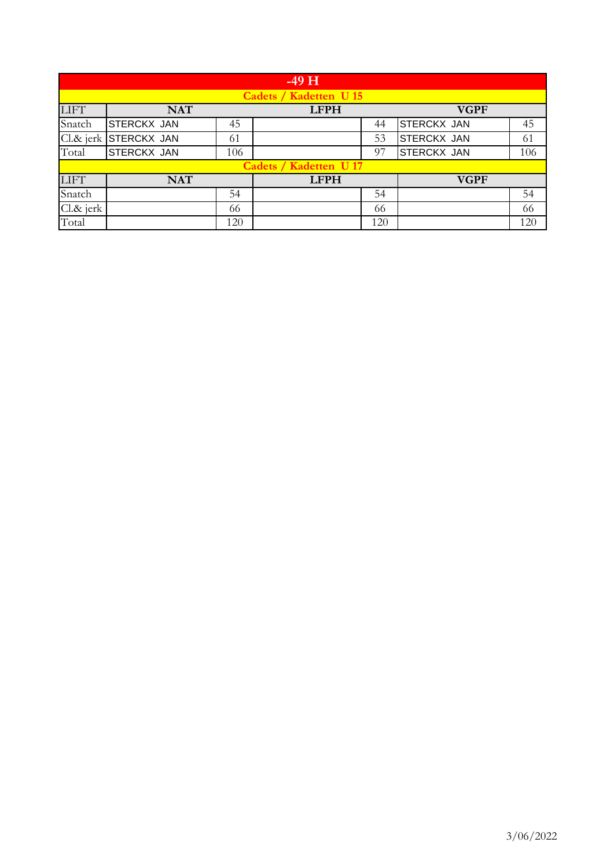|             |                        |     | $-49$ H                |     |             |     |  |  |
|-------------|------------------------|-----|------------------------|-----|-------------|-----|--|--|
|             | Cadets / Kadetten U 15 |     |                        |     |             |     |  |  |
| <b>LIFT</b> | <b>NAT</b>             |     | <b>LFPH</b>            |     | <b>VGPF</b> |     |  |  |
| Snatch      | <b>STERCKX JAN</b>     | 45  |                        | 44  | STERCKX JAN | 45  |  |  |
|             | Cl.& jerk STERCKX JAN  | 61  |                        | 53  | STERCKX JAN | 61  |  |  |
| Total       | <b>STERCKX JAN</b>     | 106 |                        | 97  | STERCKX JAN | 106 |  |  |
|             |                        |     | Cadets / Kadetten U 17 |     |             |     |  |  |
| <b>LIFT</b> | <b>NAT</b>             |     | <b>LFPH</b>            |     | <b>VGPF</b> |     |  |  |
| Snatch      |                        | 54  |                        | 54  |             | 54  |  |  |
| Cl.& jerk   |                        | 66  |                        | 66  |             | 66  |  |  |
| Total       |                        | 120 |                        | 120 |             | 120 |  |  |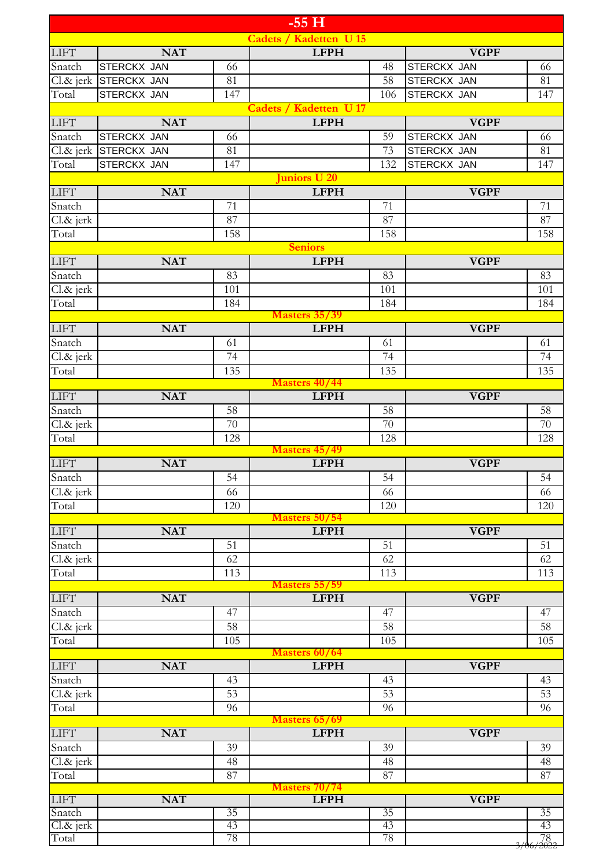|                                       |                       |                 | $-55H$                              |                           |
|---------------------------------------|-----------------------|-----------------|-------------------------------------|---------------------------|
|                                       |                       |                 | Cadets / Kadetten U 15              |                           |
| <b>LIFT</b>                           | <b>NAT</b>            |                 | <b>LFPH</b>                         | <b>VGPF</b>               |
| Snatch                                | <b>STERCKX JAN</b>    | 66              | 48                                  | <b>STERCKX JAN</b><br>66  |
|                                       | Cl.& jerk STERCKX JAN | 81              | 58                                  | <b>STERCKX JAN</b><br>81  |
| Total                                 | <b>STERCKX JAN</b>    | 147             | 106                                 | <b>STERCKX JAN</b><br>147 |
|                                       |                       |                 | <b>Cadets / Kadetten U 17</b>       |                           |
| <b>LIFT</b>                           | <b>NAT</b>            |                 | <b>LFPH</b>                         | <b>VGPF</b>               |
| Snatch                                | <b>STERCKX JAN</b>    | 66              | 59                                  | <b>STERCKX JAN</b><br>66  |
|                                       | Cl.& jerk STERCKX JAN | 81              | 73                                  | 81<br><b>STERCKX JAN</b>  |
| Total                                 | STERCKX JAN           | 147             | 132<br>Juniors U 20                 | <b>STERCKX JAN</b><br>147 |
| <b>LIFT</b>                           | <b>NAT</b>            |                 | <b>LFPH</b>                         | <b>VGPF</b>               |
| Snatch                                |                       | 71              | 71                                  | 71                        |
| Cl.& jerk                             |                       | 87              | 87                                  | 87                        |
| Total                                 |                       | 158             | 158                                 | 158                       |
|                                       |                       |                 | <b>Seniors</b>                      |                           |
| <b>LIFT</b>                           | <b>NAT</b>            |                 | <b>LFPH</b>                         | <b>VGPF</b>               |
| Snatch                                |                       | 83              | 83                                  | 83                        |
| Cl.& jerk                             |                       | 101             | 101                                 | 101                       |
| Total                                 |                       | 184             | 184                                 | 184                       |
|                                       |                       |                 | <b>Masters 35/39</b>                |                           |
| <b>LIFT</b>                           | <b>NAT</b>            |                 | <b>LFPH</b>                         | <b>VGPF</b>               |
| Snatch                                |                       | 61              | 61                                  | 61                        |
| Cl.& jerk                             |                       | $\overline{74}$ | $\overline{74}$                     | 74                        |
| Total                                 |                       | 135             | 135<br><b>Masters 40/44</b>         | 135                       |
| <b>LIFT</b>                           | <b>NAT</b>            |                 | <b>LFPH</b>                         | <b>VGPF</b>               |
| Snatch                                |                       | 58              | 58                                  | 58                        |
| Cl.& jerk                             |                       | $\overline{70}$ | 70                                  | 70                        |
| Total                                 |                       | 128             | 128                                 | 128                       |
|                                       |                       |                 | <b>Masters 45/49</b>                |                           |
| <b>LIFT</b>                           | <b>NAT</b>            |                 | <b>LFPH</b>                         | <b>VGPF</b>               |
| Snatch                                |                       | 54              | 54                                  | 54                        |
| $\overline{\text{Cl.} \text{&}}$ jerk |                       | 66              | 66                                  | 66                        |
| Total                                 |                       | 120             | 120                                 | 120                       |
| <b>LIFT</b>                           | <b>NAT</b>            |                 | <b>Masters 50/54</b><br><b>LFPH</b> | <b>VGPF</b>               |
| Snatch                                |                       | 51              | 51                                  | 51                        |
| Cl.& jerk                             |                       | 62              | 62                                  | 62                        |
| Total                                 |                       | 113             | 113                                 | 113                       |
|                                       |                       |                 | <b>Masters 55/59</b>                |                           |
| <b>LIFT</b>                           | <b>NAT</b>            |                 | <b>LFPH</b>                         | <b>VGPF</b>               |
| Snatch                                |                       | 47              | 47                                  | 47                        |
| Cl.& jerk                             |                       | 58              | 58                                  | 58                        |
| Total                                 |                       | 105             | 105                                 | 105                       |
|                                       |                       |                 | <b>Masters 60/64</b>                |                           |
| ${\rm LIFT}$                          | <b>NAT</b>            |                 | <b>LFPH</b>                         | <b>VGPF</b>               |
| Snatch                                |                       | 43<br>53        | 43<br>53                            | 43<br>53                  |
| Cl.& jerk<br>Total                    |                       | 96              | 96                                  | 96                        |
|                                       |                       |                 | Masters 65/69                       |                           |
| <b>LIFT</b>                           | <b>NAT</b>            |                 | <b>LFPH</b>                         | <b>VGPF</b>               |
| Snatch                                |                       | 39              | 39                                  | 39                        |
| Cl.& jerk                             |                       | 48              | 48                                  | 48                        |
| Total                                 |                       | 87              | 87                                  | 87                        |
|                                       |                       |                 | <b>Masters 70/74</b>                |                           |
| <b>LIFT</b>                           | <b>NAT</b>            |                 | <b>LFPH</b>                         | <b>VGPF</b>               |
| Snatch                                |                       | 35<br>43        | 35<br>43                            | 35<br>43                  |
| Cl.& jerk<br>Total                    |                       | 78              | 78                                  |                           |
|                                       |                       |                 |                                     | $\frac{78}{3/06/2022}$    |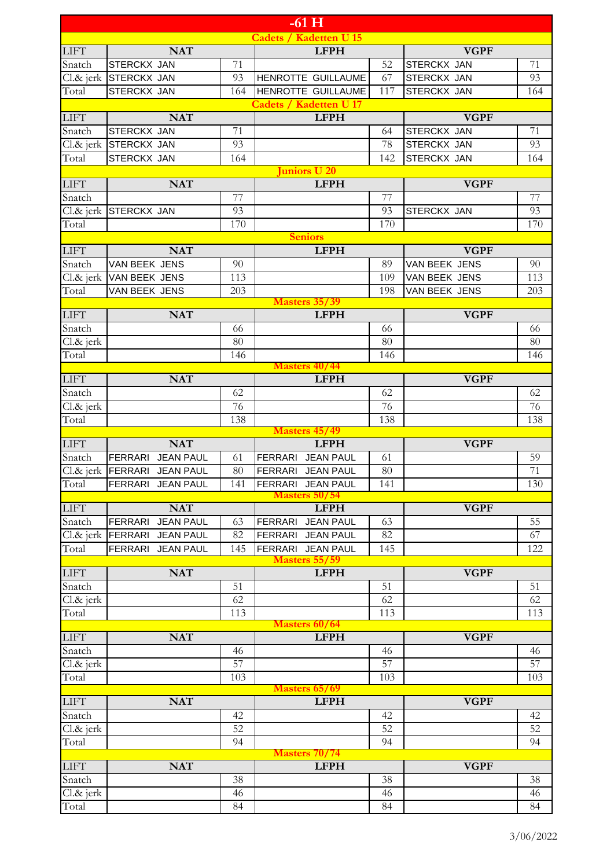|                        |                                    |          | $-61$ H                                      |                 |                    |          |
|------------------------|------------------------------------|----------|----------------------------------------------|-----------------|--------------------|----------|
|                        |                                    |          | <b>Cadets / Kadetten U 15</b>                |                 |                    |          |
| <b>LIFT</b>            | <b>NAT</b>                         |          | <b>LFPH</b>                                  |                 | <b>VGPF</b>        |          |
| Snatch                 | <b>STERCKX JAN</b>                 | 71       |                                              | 52              | <b>STERCKX JAN</b> | 71       |
| $Cl.\&$ jerk           | <b>STERCKX JAN</b>                 | 93       | HENROTTE GUILLAUME                           | 67              | <b>STERCKX JAN</b> | 93       |
| Total                  | STERCKX JAN                        | 164      | HENROTTE GUILLAUME                           | 117             | <b>STERCKX JAN</b> | 164      |
| ${\rm LIFT}$           | <b>NAT</b>                         |          | <b>Cadets / Kadetten U 17</b><br><b>LFPH</b> |                 | <b>VGPF</b>        |          |
| Snatch                 | STERCKX JAN                        | 71       |                                              | 64              | <b>STERCKX JAN</b> | 71       |
| Cl.& jerk              | <b>STERCKX JAN</b>                 | 93       |                                              | 78              | <b>STERCKX JAN</b> | 93       |
| Total                  | STERCKX JAN                        | 164      |                                              | 142             | <b>STERCKX JAN</b> | 164      |
|                        |                                    |          | uniors U 20                                  |                 |                    |          |
| <b>LIFT</b>            | <b>NAT</b>                         |          | <b>LFPH</b>                                  |                 | <b>VGPF</b>        |          |
| Snatch                 |                                    | 77       |                                              | 77              |                    | 77       |
| Cl.& jerk              | STERCKX JAN                        | 93       |                                              | 93              | STERCKX JAN        | 93       |
| Total                  |                                    | 170      |                                              | 170             |                    | 170      |
|                        |                                    |          | <b>Seniors</b>                               |                 |                    |          |
| <b>LIFT</b>            | <b>NAT</b>                         |          | <b>LFPH</b>                                  |                 | <b>VGPF</b>        |          |
| Snatch                 | VAN BEEK JENS                      | 90       |                                              | 89              | VAN BEEK JENS      | 90       |
| $Cl.\&$ jerk           | VAN BEEK JENS                      | 113      |                                              | 109             | VAN BEEK JENS      | 113      |
| Total                  | VAN BEEK JENS                      | 203      | <b>Masters 35/39</b>                         | 198             | VAN BEEK JENS      | 203      |
| ${\rm LIFT}$           | <b>NAT</b>                         |          | <b>LFPH</b>                                  |                 | <b>VGPF</b>        |          |
| Snatch                 |                                    | 66       |                                              | 66              |                    | 66       |
| Cl.& jerk              |                                    | 80       |                                              | 80              |                    | 80       |
| Total                  |                                    | 146      |                                              | 146             |                    | 146      |
|                        |                                    |          | <b>Masters 40/44</b>                         |                 |                    |          |
| <b>LIFT</b>            | <b>NAT</b>                         |          | <b>LFPH</b>                                  |                 | <b>VGPF</b>        |          |
| Snatch                 |                                    | 62       |                                              | 62              |                    | 62       |
| Cl.& jerk              |                                    | 76       |                                              | 76              |                    | 76       |
| Total                  |                                    | 138      |                                              | 138             |                    | 138      |
| <b>LIFT</b>            | <b>NAT</b>                         |          | Masters 45/49<br><b>LFPH</b>                 |                 | <b>VGPF</b>        |          |
| Snatch                 | FERRARI<br><b>JEAN PAUL</b>        | 61       | <b>JEAN PAUL</b><br><b>FERRARI</b>           | 61              |                    | 59       |
|                        | Cl.& jerk FERRARI JEAN PAUL        | 80       | FERRARI JEAN PAUL                            | $\overline{80}$ |                    | 71       |
| Total                  | FERRARI JEAN PAUL                  | 141      | FERRARI JEAN PAUL                            | 141             |                    | 130      |
|                        |                                    |          | <b>Masters 50/54</b>                         |                 |                    |          |
| <b>LIFT</b>            | <b>NAT</b>                         |          | <b>LFPH</b>                                  |                 | <b>VGPF</b>        |          |
| Snatch                 | <b>JEAN PAUL</b><br>FERRARI        | 63       | <b>FERRARI</b><br><b>JEAN PAUL</b>           | 63              |                    | 55       |
| $Cl.\&$ jerk           | <b>FERRARI</b><br><b>JEAN PAUL</b> | 82       | <b>JEAN PAUL</b><br><b>FERRARI</b>           | 82              |                    | 67       |
| Total                  | FERRARI<br><b>JEAN PAUL</b>        | 145      | FERRARI JEAN PAUL                            | 145             |                    | 122      |
|                        |                                    |          | <b>Masters 55/59</b>                         |                 |                    |          |
| <b>LIFT</b>            | <b>NAT</b>                         |          | <b>LFPH</b>                                  |                 | <b>VGPF</b>        |          |
| Snatch<br>$Cl.8c$ jerk |                                    | 51<br>62 |                                              | 51<br>62        |                    | 51<br>62 |
| Total                  |                                    | 113      |                                              | 113             |                    | 113      |
|                        |                                    |          | Masters 60/64                                |                 |                    |          |
| ${\rm LIFT}$           | <b>NAT</b>                         |          | <b>LFPH</b>                                  |                 | <b>VGPF</b>        |          |
| Snatch                 |                                    | 46       |                                              | 46              |                    | 46       |
| $Cl.\&$ jerk           |                                    | 57       |                                              | 57              |                    | 57       |
| Total                  |                                    | 103      |                                              | 103             |                    | 103      |
|                        |                                    |          | Masters 65/69                                |                 |                    |          |
| <b>LIFT</b>            | <b>NAT</b>                         |          | <b>LFPH</b>                                  |                 | <b>VGPF</b>        |          |
| Snatch                 |                                    | 42       |                                              | 42              |                    | 42       |
| Cl.& jerk              |                                    | 52       |                                              | 52              |                    | 52       |
| Total                  |                                    | 94       | <b>Masters 70/74</b>                         | 94              |                    | 94       |
| <b>LIFT</b>            | <b>NAT</b>                         |          | <b>LFPH</b>                                  |                 | <b>VGPF</b>        |          |
| Snatch                 |                                    | 38       |                                              | 38              |                    | 38       |
| Cl.& jerk              |                                    | 46       |                                              | 46              |                    | 46       |
| Total                  |                                    | 84       |                                              | 84              |                    | 84       |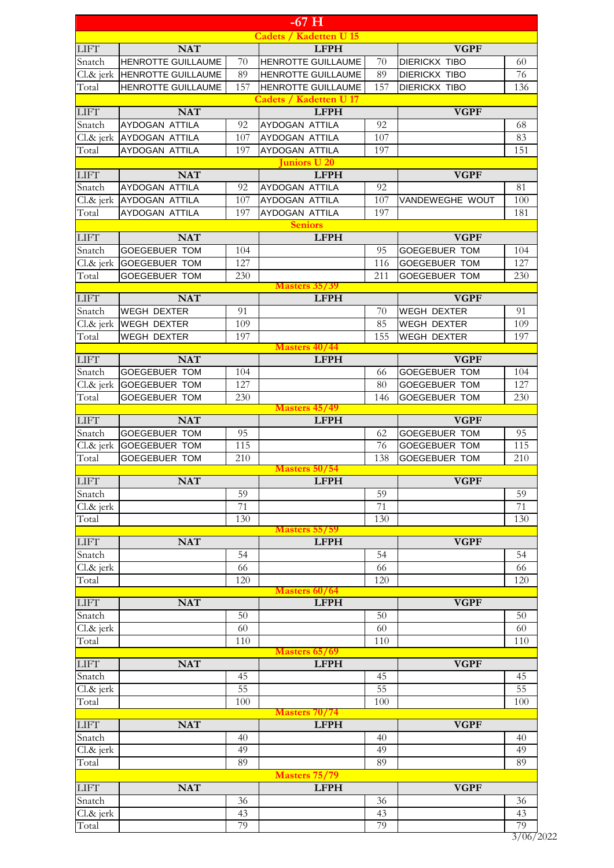|                    |                           |          | $-67$ H                       |          |                      |           |
|--------------------|---------------------------|----------|-------------------------------|----------|----------------------|-----------|
|                    |                           |          | <b>Cadets / Kadetten U 15</b> |          |                      |           |
| LIFT               | <b>NAT</b>                |          | <b>LFPH</b>                   |          | <b>VGPF</b>          |           |
| Snatch             | HENROTTE GUILLAUME        | 70       | <b>HENROTTE GUILLAUME</b>     | 70       | <b>DIERICKX TIBO</b> | 60        |
| $Cl.\&$ jerk       | <b>HENROTTE GUILLAUME</b> | 89       | HENROTTE GUILLAUME            | 89       | <b>DIERICKX TIBO</b> | 76        |
| Total              | <b>HENROTTE GUILLAUME</b> | 157      | <b>HENROTTE GUILLAUME</b>     | 157      | <b>DIERICKX TIBO</b> | 136       |
|                    |                           |          | <b>Cadets / Kadetten U 17</b> |          |                      |           |
| <b>LIFT</b>        | <b>NAT</b>                |          | <b>LFPH</b>                   |          | <b>VGPF</b>          |           |
| Snatch             | AYDOGAN ATTILA            | 92       | AYDOGAN ATTILA                | 92       |                      | 68        |
|                    | Cl.& jerk AYDOGAN ATTILA  | 107      | AYDOGAN ATTILA                | 107      |                      | 83<br>151 |
| Total              | AYDOGAN ATTILA            | 197      | AYDOGAN ATTILA<br>uniors U 20 | 197      |                      |           |
| <b>LIFT</b>        | <b>NAT</b>                |          | <b>LFPH</b>                   |          | <b>VGPF</b>          |           |
| Snatch             | AYDOGAN ATTILA            | 92       | AYDOGAN ATTILA                | 92       |                      | 81        |
|                    | Cl.& jerk AYDOGAN ATTILA  | 107      | AYDOGAN ATTILA                | 107      | VANDEWEGHE WOUT      | 100       |
| Total              | AYDOGAN ATTILA            | 197      | AYDOGAN ATTILA                | 197      |                      | 181       |
|                    |                           |          | <b>Seniors</b>                |          |                      |           |
| <b>LIFT</b>        | <b>NAT</b>                |          | <b>LFPH</b>                   |          | <b>VGPF</b>          |           |
| Snatch             | <b>GOEGEBUER TOM</b>      | 104      |                               | 95       | <b>GOEGEBUER TOM</b> | 104       |
| $Cl.\&$ jerk       | <b>GOEGEBUER TOM</b>      | 127      |                               | 116      | <b>GOEGEBUER TOM</b> | 127       |
| Total              | <b>GOEGEBUER TOM</b>      | 230      |                               | 211      | <b>GOEGEBUER TOM</b> | 230       |
|                    |                           |          | <b>Masters 35/39</b>          |          |                      |           |
| <b>LIFT</b>        | <b>NAT</b>                |          | <b>LFPH</b>                   |          | <b>VGPF</b>          |           |
| Snatch             | <b>WEGH DEXTER</b>        | 91       |                               | 70       | WEGH DEXTER          | 91        |
|                    | Cl.& jerk WEGH DEXTER     | 109      |                               | 85       | WEGH DEXTER          | 109       |
| Total              | <b>WEGH DEXTER</b>        | 197      | Masters 40/44                 | 155      | <b>WEGH DEXTER</b>   | 197       |
| ${\rm LIFT}$       | <b>NAT</b>                |          | <b>LFPH</b>                   |          | <b>VGPF</b>          |           |
| Snatch             | <b>GOEGEBUER TOM</b>      | 104      |                               | 66       | <b>GOEGEBUER TOM</b> | 104       |
| Cl.& jerk          | <b>GOEGEBUER TOM</b>      | 127      |                               | 80       | <b>GOEGEBUER TOM</b> | 127       |
| Total              | <b>GOEGEBUER TOM</b>      | 230      |                               | 146      | <b>GOEGEBUER TOM</b> | 230       |
|                    |                           |          | <b>Masters 45/49</b>          |          |                      |           |
| <b>LIFT</b>        | <b>NAT</b>                |          | <b>LFPH</b>                   |          | <b>VGPF</b>          |           |
| Snatch             | <b>GOEGEBUER TOM</b>      | 95       |                               | 62       | <b>GOEGEBUER TOM</b> | 95        |
| Cl.& jerk          | <b>GOEGEBUER TOM</b>      | 115      |                               | 76       | <b>GOEGEBUER TOM</b> | 115       |
| Total              | GOEGEBUER TOM             | 210      |                               | 138      | GOEGEBUER TOM        | 210       |
|                    |                           |          | Masters 50/54                 |          |                      |           |
| <b>LIFT</b>        | <b>NAT</b>                |          | <b>LFPH</b>                   |          | <b>VGPF</b>          |           |
| Snatch             |                           | 59<br>71 |                               | 59<br>71 |                      | 59<br>71  |
| Cl.& jerk<br>Total |                           | 130      |                               | 130      |                      | 130       |
|                    |                           |          | <b>Masters 55/59</b>          |          |                      |           |
| <b>LIFT</b>        | <b>NAT</b>                |          | <b>LFPH</b>                   |          | <b>VGPF</b>          |           |
| Snatch             |                           | 54       |                               | 54       |                      | 54        |
| Cl.& jerk          |                           | 66       |                               | 66       |                      | 66        |
| Total              |                           | 120      |                               | 120      |                      | 120       |
|                    |                           |          | Masters 60/64                 |          |                      |           |
| <b>LIFT</b>        | <b>NAT</b>                |          | <b>LFPH</b>                   |          | <b>VGPF</b>          |           |
| Snatch             |                           | 50       |                               | 50       |                      | 50        |
| Cl.& jerk          |                           | 60       |                               | 60       |                      | 60        |
| Total              |                           | 110      |                               | 110      |                      | 110       |
| <b>LIFT</b>        | <b>NAT</b>                |          | Masters 65/69<br><b>LFPH</b>  |          | <b>VGPF</b>          |           |
| Snatch             |                           | 45       |                               | 45       |                      | 45        |
| Cl.& jerk          |                           | 55       |                               | 55       |                      | 55        |
| Total              |                           | 100      |                               | 100      |                      | 100       |
|                    |                           |          | Masters 70/74                 |          |                      |           |
| <b>LIFT</b>        | <b>NAT</b>                |          | <b>LFPH</b>                   |          | <b>VGPF</b>          |           |
| Snatch             |                           | 40       |                               | 40       |                      | 40        |
| Cl.& jerk          |                           | 49       |                               | 49       |                      | 49        |
| Total              |                           | 89       |                               | 89       |                      | 89        |
|                    |                           |          | <b>Masters 75/79</b>          |          |                      |           |
| <b>LIFT</b>        | <b>NAT</b>                |          | <b>LFPH</b>                   |          | <b>VGPF</b>          |           |
| Snatch             |                           | 36       |                               | 36       |                      | 36        |
| Cl.& jerk          |                           | 43       |                               | 43       |                      | 43        |
| Total              |                           | 79       |                               | 79       |                      | 79        |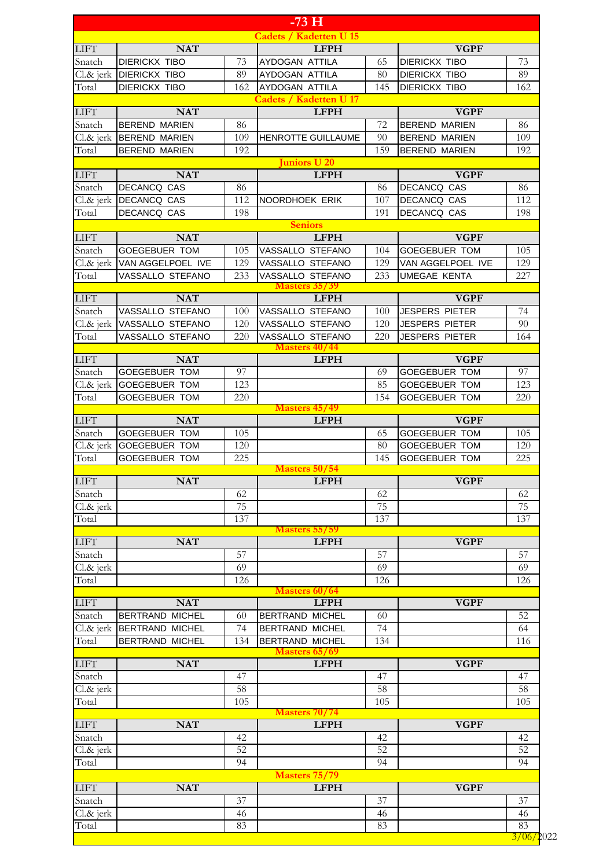|                                                                                   |                           |     | $-73\,\mathrm{H}$             |     |                       |     |
|-----------------------------------------------------------------------------------|---------------------------|-----|-------------------------------|-----|-----------------------|-----|
|                                                                                   |                           |     | <b>Cadets / Kadetten U 15</b> |     |                       |     |
| <b>LIFT</b>                                                                       | <b>NAT</b>                |     | <b>LFPH</b>                   |     | <b>VGPF</b>           |     |
| Snatch                                                                            | <b>DIERICKX TIBO</b>      | 73  | AYDOGAN ATTILA                | 65  | <b>DIERICKX TIBO</b>  | 73  |
| $Cl.\&$ jerk                                                                      | <b>DIERICKX TIBO</b>      | 89  | AYDOGAN ATTILA                | 80  | <b>DIERICKX TIBO</b>  | 89  |
| Total                                                                             | <b>DIERICKX TIBO</b>      | 162 | AYDOGAN ATTILA                | 145 | <b>DIERICKX TIBO</b>  | 162 |
|                                                                                   |                           |     | <b>Cadets / Kadetten U 17</b> |     |                       |     |
| <b>LIFT</b>                                                                       | <b>NAT</b>                |     | <b>LFPH</b>                   |     | <b>VGPF</b>           |     |
| Snatch                                                                            | <b>BEREND MARIEN</b>      | 86  |                               | 72  | <b>BEREND MARIEN</b>  | 86  |
|                                                                                   | Cl.& jerk   BEREND MARIEN | 109 | HENROTTE GUILLAUME            | 90  | <b>BEREND MARIEN</b>  | 109 |
| Total                                                                             | <b>BEREND MARIEN</b>      | 192 |                               | 159 | <b>BEREND MARIEN</b>  | 192 |
|                                                                                   |                           |     | Juniors U 20                  |     |                       |     |
| <b>LIFT</b>                                                                       | <b>NAT</b>                |     | <b>LFPH</b>                   |     | <b>VGPF</b>           |     |
| Snatch                                                                            | <b>DECANCQ CAS</b>        | 86  |                               | 86  | <b>DECANCQ CAS</b>    | 86  |
|                                                                                   | Cl.& jerk DECANCQ CAS     | 112 | NOORDHOEK ERIK                | 107 | <b>DECANCQ CAS</b>    | 112 |
| Total                                                                             | DECANCQ CAS               | 198 |                               | 191 | DECANCQ CAS           | 198 |
|                                                                                   |                           |     |                               |     |                       |     |
|                                                                                   |                           |     | <b>Seniors</b>                |     |                       |     |
| <b>LIFT</b>                                                                       | <b>NAT</b>                |     | <b>LFPH</b>                   |     | <b>VGPF</b>           |     |
| Snatch                                                                            | <b>GOEGEBUER TOM</b>      | 105 | VASSALLO STEFANO              | 104 | <b>GOEGEBUER TOM</b>  | 105 |
| $Cl.\&$ jerk                                                                      | VAN AGGELPOEL IVE         | 129 | VASSALLO STEFANO              | 129 | VAN AGGELPOEL IVE     | 129 |
| Total                                                                             | VASSALLO STEFANO          | 233 | VASSALLO STEFANO              | 233 | <b>UMEGAE KENTA</b>   | 227 |
|                                                                                   |                           |     | <b>Masters 35/39</b>          |     |                       |     |
| <b>LIFT</b>                                                                       | <b>NAT</b>                |     | <b>LFPH</b>                   |     | <b>VGPF</b>           |     |
| Snatch                                                                            | VASSALLO STEFANO          | 100 | VASSALLO STEFANO              | 100 | <b>JESPERS PIETER</b> | 74  |
| $Cl.\&$ jerk                                                                      | VASSALLO STEFANO          | 120 | VASSALLO STEFANO              | 120 | <b>JESPERS PIETER</b> | 90  |
| Total                                                                             | VASSALLO STEFANO          | 220 | VASSALLO STEFANO              | 220 | <b>JESPERS PIETER</b> | 164 |
|                                                                                   |                           |     | <b>Masters 40/44</b>          |     |                       |     |
| <b>LIFT</b>                                                                       | <b>NAT</b>                |     | <b>LFPH</b>                   |     | <b>VGPF</b>           |     |
| Snatch                                                                            | <b>GOEGEBUER TOM</b>      | 97  |                               | 69  | <b>GOEGEBUER TOM</b>  | 97  |
| $Cl.\&$ jerk                                                                      | <b>GOEGEBUER TOM</b>      | 123 |                               | 85  | <b>GOEGEBUER TOM</b>  | 123 |
| Total                                                                             | <b>GOEGEBUER TOM</b>      | 220 |                               | 154 | <b>GOEGEBUER TOM</b>  | 220 |
|                                                                                   |                           |     | <b>Masters 45/49</b>          |     |                       |     |
| <b>LIFT</b>                                                                       | <b>NAT</b>                |     | <b>LFPH</b>                   |     | <b>VGPF</b>           |     |
| Snatch                                                                            | <b>GOEGEBUER TOM</b>      | 105 |                               | 65  | <b>GOEGEBUER TOM</b>  | 105 |
|                                                                                   | Cl.& jerk GOEGEBUER TOM   | 120 |                               | 80  | <b>GOEGEBUER TOM</b>  | 120 |
| Total                                                                             | <b>GOEGEBUER TOM</b>      | 225 |                               | 145 | GOEGEBUER TOM         | 225 |
|                                                                                   |                           |     | Masters 50/54                 |     |                       |     |
| <b>LIFT</b>                                                                       | <b>NAT</b>                |     | <b>LFPH</b>                   |     | <b>VGPF</b>           |     |
| Snatch                                                                            |                           | 62  |                               | 62  |                       | 62  |
| $Cl.8c$ jerk                                                                      |                           | 75  |                               | 75  |                       | 75  |
| Total                                                                             |                           | 137 |                               | 137 |                       | 137 |
|                                                                                   |                           |     | <b>Masters 55/59</b>          |     |                       |     |
| <b>LIFT</b>                                                                       | <b>NAT</b>                |     | <b>LFPH</b>                   |     | <b>VGPF</b>           |     |
| Snatch                                                                            |                           | 57  |                               | 57  |                       | 57  |
| Cl.& jerk                                                                         |                           | 69  |                               | 69  |                       | 69  |
| Total                                                                             |                           | 126 |                               | 126 |                       | 126 |
|                                                                                   |                           |     | <b>Masters 60/64</b>          |     |                       |     |
| <b>LIFT</b>                                                                       | <b>NAT</b>                |     | <b>LFPH</b>                   |     | <b>VGPF</b>           |     |
| Snatch                                                                            | <b>BERTRAND MICHEL</b>    | 60  | <b>BERTRAND MICHEL</b>        | 60  |                       | 52  |
| $Cl.\&$ jerk                                                                      | <b>BERTRAND MICHEL</b>    | 74  | <b>BERTRAND MICHEL</b>        | 74  |                       | 64  |
| Total                                                                             | BERTRAND MICHEL           | 134 | <b>BERTRAND MICHEL</b>        | 134 |                       | 116 |
|                                                                                   |                           |     | Masters 65/69                 |     |                       |     |
| <b>LIFT</b>                                                                       | <b>NAT</b>                |     | <b>LFPH</b>                   |     | <b>VGPF</b>           |     |
| Snatch                                                                            |                           | 47  |                               | 47  |                       | 47  |
| $Cl.8c$ jerk                                                                      |                           | 58  |                               | 58  |                       | 58  |
|                                                                                   |                           |     |                               |     |                       |     |
| Total                                                                             |                           | 105 | <b>Masters 70/74</b>          | 105 |                       | 105 |
|                                                                                   | <b>NAT</b>                |     | <b>LFPH</b>                   |     | <b>VGPF</b>           |     |
|                                                                                   |                           |     |                               |     |                       |     |
|                                                                                   |                           | 42  |                               | 42  |                       | 42  |
|                                                                                   |                           |     |                               | 52  |                       | 52  |
|                                                                                   |                           | 52  |                               |     |                       |     |
|                                                                                   |                           | 94  |                               | 94  |                       | 94  |
|                                                                                   |                           |     | <b>Masters 75/79</b>          |     |                       |     |
|                                                                                   | <b>NAT</b>                |     | <b>LFPH</b>                   |     | <b>VGPF</b>           |     |
|                                                                                   |                           | 37  |                               | 37  |                       | 37  |
| <b>LIFT</b><br>Snatch<br>Cl.& jerk<br>Total<br><b>LIFT</b><br>Snatch<br>Cl.& jerk |                           | 46  |                               | 46  |                       | 46  |
| Total                                                                             |                           | 83  |                               | 83  |                       | 83  |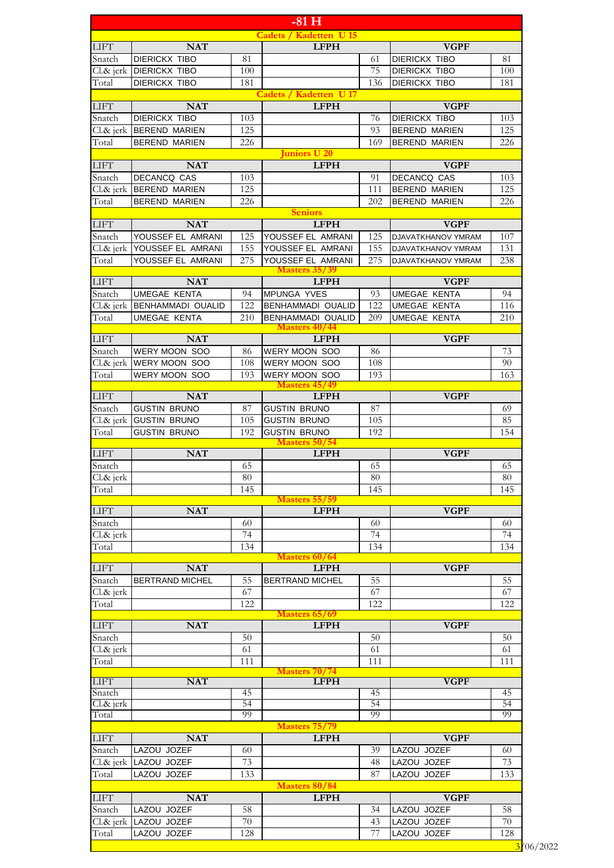|                                        |                                                  |            | $-81H$                                      |           |                                    |           |
|----------------------------------------|--------------------------------------------------|------------|---------------------------------------------|-----------|------------------------------------|-----------|
|                                        |                                                  |            | <b>Cadets / Kadetten U 15</b>               |           |                                    |           |
| <b>LIFT</b>                            | <b>NAT</b>                                       |            | <b>LFPH</b>                                 |           | <b>VGPF</b>                        |           |
| Snatch                                 | <b>DIERICKX TIBO</b>                             | 81         |                                             | 61        | <b>DIERICKX TIBO</b>               | 81        |
|                                        | Cl.& jerk DIERICKX TIBO                          | 100        |                                             | 75        | <b>DIERICKX TIBO</b>               | 100       |
| Total                                  | <b>DIERICKX TIBO</b>                             | 181        |                                             | 136       | <b>DIERICKX TIBO</b>               | 181       |
| <b>LIFT</b>                            | <b>NAT</b>                                       |            | <b>Cadets / Kadetten U17</b><br><b>LFPH</b> |           | <b>VGPF</b>                        |           |
| Snatch                                 | <b>DIERICKX TIBO</b>                             | 103        |                                             | 76        | <b>DIERICKX TIBO</b>               | 103       |
|                                        | Cl.& jerk   BEREND MARIEN                        | 125        |                                             | 93        | <b>BEREND MARIEN</b>               | 125       |
| Total                                  | <b>BEREND MARIEN</b>                             | 226        |                                             | 169       | <b>BEREND MARIEN</b>               | 226       |
|                                        |                                                  |            | Juniors U 20                                |           |                                    |           |
| <b>LIFT</b>                            | <b>NAT</b>                                       |            | <b>LFPH</b>                                 |           | <b>VGPF</b>                        |           |
| Snatch                                 | <b>DECANCQ CAS</b>                               | 103        |                                             | 91        | DECANCQ CAS                        | 103       |
| Total                                  | Cl.& jerk  BEREND MARIEN<br><b>BEREND MARIEN</b> | 125<br>226 |                                             | 111       | <b>BEREND MARIEN</b>               | 125       |
|                                        |                                                  |            | <b>Seniors</b>                              | 202       | <b>BEREND MARIEN</b>               | 226       |
| <b>LIFT</b>                            | <b>NAT</b>                                       |            | <b>LFPH</b>                                 |           | <b>VGPF</b>                        |           |
| Snatch                                 | YOUSSEF EL AMRANI                                | 125        | YOUSSEF EL AMRANI                           | 125       | DJAVATKHANOV YMRAM                 | 107       |
|                                        | Cl.& jerk YOUSSEF EL AMRANI                      | 155        | YOUSSEF EL AMRANI                           | 155       | <b>DJAVATKHANOV YMRAM</b>          | 131       |
| Total                                  | YOUSSEF EL AMRANI                                | 275        | YOUSSEF EL AMRANI                           | 275       | DJAVATKHANOV YMRAM                 | 238       |
|                                        |                                                  |            | Masters 35/39                               |           |                                    |           |
| <b>LIFT</b><br>Snatch                  | <b>NAT</b><br><b>UMEGAE KENTA</b>                | 94         | <b>LFPH</b><br>MPUNGA YVES                  |           | <b>VGPF</b><br><b>UMEGAE KENTA</b> | 94        |
|                                        | Cl.& jerk BENHAMMADI OUALID                      | 122        | <b>BENHAMMADI OUALID</b>                    | 93<br>122 | <b>UMEGAE KENTA</b>                | 116       |
| Total                                  | UMEGAE KENTA                                     | 210        | <b>BENHAMMADI OUALID</b>                    | 209       | <b>UMEGAE KENTA</b>                | 210       |
|                                        |                                                  |            | <b>Masters 40/44</b>                        |           |                                    |           |
| <b>LIFT</b>                            | <b>NAT</b>                                       |            | <b>LFPH</b>                                 |           | <b>VGPF</b>                        |           |
| Snatch                                 | WERY MOON SOO                                    | 86         | WERY MOON SOO                               | 86        |                                    | 73        |
| $Cl.\&$ jerk                           | IWERY MOON SOO                                   | 108        | <b>WERY MOON SOO</b>                        | 108       |                                    | 90        |
| Total                                  | WERY MOON SOO                                    | 193        | WERY MOON SOO<br>Masters 45/49              | 193       |                                    | 163       |
| <b>LIFT</b>                            | <b>NAT</b>                                       |            | <b>LFPH</b>                                 |           | <b>VGPF</b>                        |           |
| Snatch                                 | <b>GUSTIN BRUNO</b>                              | 87         | <b>GUSTIN BRUNO</b>                         | 87        |                                    | 69        |
| $Cl.\&$ jerk                           | <b>GUSTIN BRUNO</b>                              | 105        | <b>GUSTIN BRUNO</b>                         | 105       |                                    | 85        |
| Total                                  | <b>GUSTIN BRUNO</b>                              | 192        | <b>GUSTIN BRUNO</b>                         | 192       |                                    | 154       |
| <b>LIFT</b>                            | <b>NAT</b>                                       |            | Masters 50/54<br><b>LFPH</b>                |           | <b>VGPF</b>                        |           |
|                                        |                                                  |            |                                             |           |                                    |           |
|                                        |                                                  |            |                                             |           |                                    |           |
| Snatch                                 |                                                  | 65         |                                             | 65        |                                    | 65        |
| Cl.& jerk                              |                                                  | 80<br>145  |                                             | 80<br>145 |                                    | 80<br>145 |
| Total                                  |                                                  |            | <b>Masters 55/59</b>                        |           |                                    |           |
| ${\rm LIFT}$                           | <b>NAT</b>                                       |            | <b>LFPH</b>                                 |           | <b>VGPF</b>                        |           |
| Snatch                                 |                                                  | 60         |                                             | 60        |                                    | 60        |
| Cl.& jerk                              |                                                  | 74         |                                             | 74        |                                    | 74        |
| Total                                  |                                                  | 134        |                                             | 134       |                                    | 134       |
|                                        |                                                  |            | Masters 60/64                               |           |                                    |           |
| Snatch                                 | <b>NAT</b><br><b>BERTRAND MICHEL</b>             | 55         | <b>LFPH</b><br><b>BERTRAND MICHEL</b>       | 55        | <b>VGPF</b>                        | 55        |
| $Cl.8c$ jerk                           |                                                  | 67         |                                             | 67        |                                    | 67        |
| Total                                  |                                                  | 122        |                                             | 122       |                                    | 122       |
|                                        |                                                  |            | Masters 65/69                               |           |                                    |           |
|                                        | <b>NAT</b>                                       |            | <b>LFPH</b>                                 |           | <b>VGPF</b>                        |           |
| <b>LIFT</b><br>Snatch                  |                                                  | 50         |                                             | 50        |                                    | 50        |
| ${\rm LIFT}$<br>Cl.& jerk<br>Total     |                                                  | 61<br>111  |                                             | 61<br>111 |                                    | 61<br>111 |
|                                        |                                                  |            | Masters 70/74                               |           |                                    |           |
| <b>LIFT</b>                            | <b>NAT</b>                                       |            | <b>LFPH</b>                                 |           | <b>VGPF</b>                        |           |
| Snatch                                 |                                                  | 45         |                                             | 45        |                                    | 45        |
| $Cl.\&$ jerk<br>Total                  |                                                  | 54<br>99   |                                             | 54<br>99  |                                    | 54<br>99  |
|                                        |                                                  |            | <b>Masters 75/79</b>                        |           |                                    |           |
|                                        | <b>NAT</b>                                       |            | <b>LFPH</b>                                 |           | <b>VGPF</b>                        |           |
| Snatch                                 | LAZOU JOZEF                                      | 60         |                                             | 39        | LAZOU JOZEF                        | 60        |
|                                        | Cl.& jerk LAZOU JOZEF                            | 73         |                                             | 48        | LAZOU JOZEF                        | 73        |
| Total                                  | LAZOU JOZEF                                      | 133        |                                             | 87        | LAZOU JOZEF                        | 133       |
|                                        |                                                  |            | Masters 80/84                               |           |                                    |           |
|                                        | <b>NAT</b>                                       |            | <b>LFPH</b>                                 |           | <b>VGPF</b>                        |           |
| ${\rm LIFT}$<br>${\rm LIFT}$<br>Snatch | LAZOU JOZEF                                      | 58         |                                             | 34        | LAZOU JOZEF                        | 58        |
| Total                                  | Cl.& jerk LAZOU JOZEF<br>LAZOU JOZEF             | 70<br>128  |                                             | 43<br>77  | LAZOU JOZEF<br>LAZOU JOZEF         | 70<br>128 |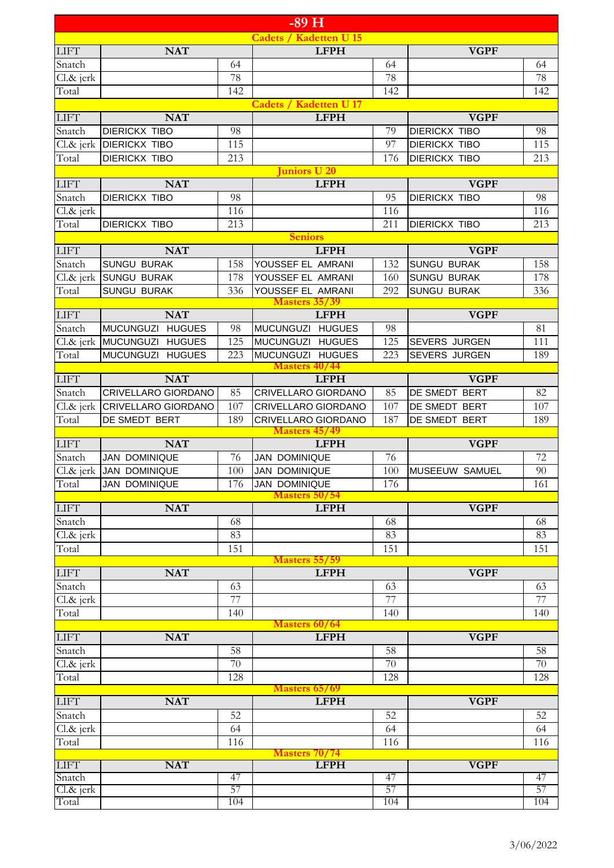|                       |                                              |            | $-89$ H                                |            |                                              |            |
|-----------------------|----------------------------------------------|------------|----------------------------------------|------------|----------------------------------------------|------------|
|                       |                                              |            | <b>Cadets / Kadetten U 15</b>          |            |                                              |            |
| <b>LIFT</b>           | <b>NAT</b>                                   |            | <b>LFPH</b>                            |            | <b>VGPF</b>                                  |            |
| Snatch                |                                              | 64         |                                        | 64         |                                              | 64         |
| Cl.& jerk             |                                              | 78         |                                        | 78         |                                              | 78         |
| Total                 |                                              | 142        |                                        | 142        |                                              | 142        |
|                       |                                              |            | <b>Cadets / Kadetten U 17</b>          |            |                                              |            |
| <b>LIFT</b>           | <b>NAT</b>                                   |            | <b>LFPH</b>                            |            | <b>VGPF</b>                                  |            |
| Snatch<br>Cl.& jerk   | <b>DIERICKX TIBO</b><br><b>DIERICKX TIBO</b> | 98<br>115  |                                        | 79<br>97   | <b>DIERICKX TIBO</b><br><b>DIERICKX TIBO</b> | 98<br>115  |
| Total                 | <b>DIERICKX TIBO</b>                         | 213        |                                        | 176        | <b>DIERICKX TIBO</b>                         | 213        |
|                       |                                              |            | uniors U 20                            |            |                                              |            |
| <b>LIFT</b>           | <b>NAT</b>                                   |            | <b>LFPH</b>                            |            | <b>VGPF</b>                                  |            |
| Snatch                | <b>DIERICKX TIBO</b>                         | 98         |                                        | 95         | <b>DIERICKX TIBO</b>                         | 98         |
| Cl.& jerk             |                                              | 116        |                                        | 116        |                                              | 116        |
| Total                 | <b>DIERICKX TIBO</b>                         | 213        |                                        | 211        | <b>DIERICKX TIBO</b>                         | 213        |
|                       |                                              |            | <b>Seniors</b>                         |            |                                              |            |
| <b>LIFT</b>           | <b>NAT</b>                                   |            | <b>LFPH</b>                            |            | <b>VGPF</b>                                  |            |
| Snatch                | <b>SUNGU BURAK</b><br><b>SUNGU BURAK</b>     | 158<br>178 | YOUSSEF EL AMRANI<br>YOUSSEF EL AMRANI | 132<br>160 | <b>SUNGU BURAK</b><br><b>SUNGU BURAK</b>     | 158<br>178 |
| Cl.& jerk<br>Total    | <b>SUNGU BURAK</b>                           | 336        | YOUSSEF EL AMRANI                      | 292        | <b>SUNGU BURAK</b>                           | 336        |
|                       |                                              |            | <b>Masters 35/39</b>                   |            |                                              |            |
| <b>LIFT</b>           | <b>NAT</b>                                   |            | <b>LFPH</b>                            |            | <b>VGPF</b>                                  |            |
| Snatch                | MUCUNGUZI HUGUES                             | 98         | <b>MUCUNGUZI</b><br><b>HUGUES</b>      | 98         |                                              | 81         |
| Cl.& jerk             | MUCUNGUZI HUGUES                             | 125        | <b>HUGUES</b><br><b>MUCUNGUZI</b>      | 125        | <b>SEVERS JURGEN</b>                         | 111        |
| Total                 | MUCUNGUZI HUGUES                             | 223        | MUCUNGUZI HUGUES                       | 223        | <b>SEVERS JURGEN</b>                         | 189        |
|                       |                                              |            | <b>Masters 40/44</b>                   |            |                                              |            |
| <b>LIFT</b><br>Snatch | <b>NAT</b><br>CRIVELLARO GIORDANO            | 85         | <b>LFPH</b><br>CRIVELLARO GIORDANO     | 85         | <b>VGPF</b><br>DE SMEDT BERT                 | 82         |
| Cl.& jerk             | <b>CRIVELLARO GIORDANO</b>                   | 107        | CRIVELLARO GIORDANO                    | 107        | DE SMEDT BERT                                | 107        |
| Total                 | DE SMEDT BERT                                | 189        | CRIVELLARO GIORDANO                    | 187        | DE SMEDT BERT                                | 189        |
|                       |                                              |            | <b>Masters 45/49</b>                   |            |                                              |            |
| <b>LIFT</b>           | <b>NAT</b>                                   |            | <b>LFPH</b>                            |            | <b>VGPF</b>                                  |            |
| Snatch                | <b>JAN DOMINIQUE</b>                         | 76         | <b>JAN DOMINIQUE</b>                   | 76         |                                              | 72         |
|                       | Cl.& jerk JAN DOMINIQUE                      | 100        | <b>JAN DOMINIQUE</b>                   | 100        | MUSEEUW SAMUEL                               | 90         |
| Total                 | <b>JAN DOMINIQUE</b>                         | 176        | JAN DOMINIQUE<br><b>Masters 50/54</b>  | 176        |                                              | 161        |
| LIFT                  | <b>NAT</b>                                   |            | <b>LFPH</b>                            |            | <b>VGPF</b>                                  |            |
| Snatch                |                                              | 68         |                                        | 68         |                                              | 68         |
| Cl.& jerk             |                                              | 83         |                                        | 83         |                                              | 83         |
| Total                 |                                              | 151        |                                        | 151        |                                              | 151        |
|                       |                                              |            | <b>Masters 55/59</b>                   |            |                                              |            |
| <b>LIFT</b><br>Snatch | <b>NAT</b>                                   |            | <b>LFPH</b>                            |            | <b>VGPF</b>                                  |            |
| Cl.& jerk             |                                              | 63<br>77   |                                        | 63<br>77   |                                              | 63<br>77   |
| Total                 |                                              | 140        |                                        | 140        |                                              | 140        |
|                       |                                              |            | <b>Masters 60/64</b>                   |            |                                              |            |
| <b>LIFT</b>           | <b>NAT</b>                                   |            | <b>LFPH</b>                            |            | <b>VGPF</b>                                  |            |
| Snatch                |                                              | 58         |                                        | 58         |                                              | 58         |
| Cl.& jerk             |                                              | 70         |                                        | 70         |                                              | 70         |
| Total                 |                                              | 128        |                                        | 128        |                                              | 128        |
| <b>LIFT</b>           | <b>NAT</b>                                   |            | Masters 65/69<br><b>LFPH</b>           |            | <b>VGPF</b>                                  |            |
| Snatch                |                                              | 52         |                                        | 52         |                                              | 52         |
| Cl.& jerk             |                                              | 64         |                                        | 64         |                                              | 64         |
| Total                 |                                              | 116        |                                        | 116        |                                              | 116        |
|                       |                                              |            | <b>Masters 70/74</b>                   |            |                                              |            |
| <b>LIFT</b>           | <b>NAT</b>                                   |            | <b>LFPH</b>                            |            | <b>VGPF</b>                                  |            |
| Snatch<br>Cl.& jerk   |                                              | 47<br>57   |                                        | 47<br>57   |                                              | 47<br>57   |
| Total                 |                                              | 104        |                                        | 104        |                                              | 104        |
|                       |                                              |            |                                        |            |                                              |            |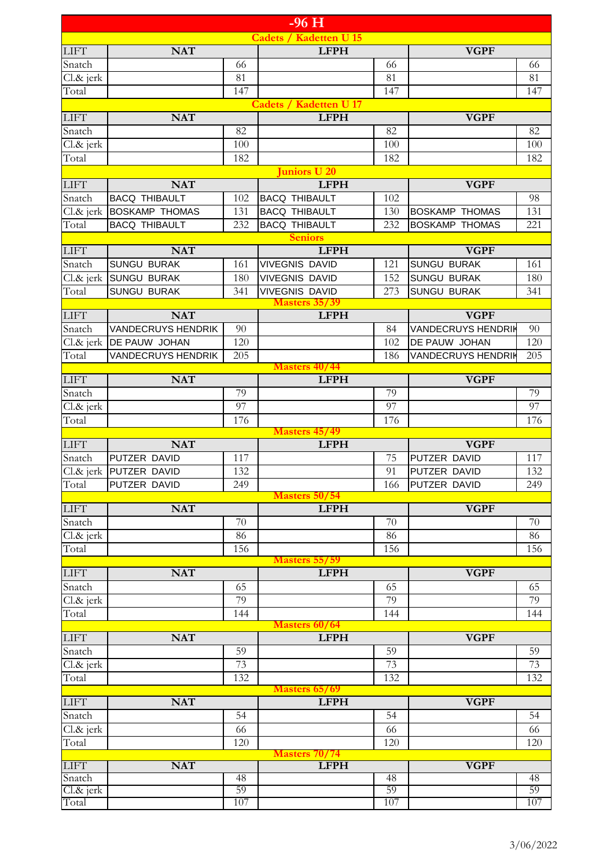|                       |                                          |            | $-96H$                                         |            |                                          |                 |
|-----------------------|------------------------------------------|------------|------------------------------------------------|------------|------------------------------------------|-----------------|
|                       |                                          |            | <b>Cadets / Kadetten U 15</b>                  |            |                                          |                 |
| <b>LIFT</b>           | <b>NAT</b>                               |            | <b>LFPH</b>                                    |            | <b>VGPF</b>                              |                 |
| Snatch                |                                          | 66         |                                                | 66         |                                          | 66              |
| Cl.& jerk             |                                          | 81         |                                                | 81         |                                          | 81              |
| Total                 |                                          | 147        |                                                | 147        |                                          | 147             |
| <b>LIFT</b>           | <b>NAT</b>                               |            | <b>Cadets / Kadetten U 17</b><br><b>LFPH</b>   |            | <b>VGPF</b>                              |                 |
| Snatch                |                                          | 82         |                                                | 82         |                                          | 82              |
| Cl.& jerk             |                                          | 100        |                                                | 100        |                                          | 100             |
| Total                 |                                          | 182        |                                                | 182        |                                          | 182             |
|                       |                                          |            | Juniors U 20                                   |            |                                          |                 |
| <b>LIFT</b>           | <b>NAT</b>                               |            | <b>LFPH</b>                                    |            | <b>VGPF</b>                              |                 |
| Snatch                | <b>BACQ THIBAULT</b>                     | 102        | <b>BACQ THIBAULT</b>                           | 102        |                                          | 98              |
|                       | Cl.& jerk BOSKAMP THOMAS                 | 131        | <b>BACQ THIBAULT</b>                           | 130        | <b>BOSKAMP THOMAS</b>                    | 131             |
| Total                 | <b>BACQ THIBAULT</b>                     | 232        | <b>BACQ THIBAULT</b>                           | 232        | <b>BOSKAMP THOMAS</b>                    | 221             |
|                       |                                          |            | <b>Seniors</b>                                 |            |                                          |                 |
| <b>LIFT</b>           | <b>NAT</b>                               |            | <b>LFPH</b>                                    |            | <b>VGPF</b>                              |                 |
| Snatch                | <b>SUNGU BURAK</b><br><b>SUNGU BURAK</b> | 161        | <b>VIVEGNIS DAVID</b><br><b>VIVEGNIS DAVID</b> | 121<br>152 | <b>SUNGU BURAK</b>                       | 161             |
| $Cl.\&$ jerk<br>Total | <b>SUNGU BURAK</b>                       | 180<br>341 | <b>VIVEGNIS DAVID</b>                          | 273        | <b>SUNGU BURAK</b><br><b>SUNGU BURAK</b> | 180<br>341      |
|                       |                                          |            | <b>Masters 35/39</b>                           |            |                                          |                 |
| <b>LIFT</b>           | <b>NAT</b>                               |            | <b>LFPH</b>                                    |            | <b>VGPF</b>                              |                 |
| Snatch                | <b>VANDECRUYS HENDRIK</b>                | 90         |                                                | 84         | <b>VANDECRUYS HENDRIK</b>                | 90              |
|                       | Cl.& jerk   DE PAUW JOHAN                | 120        |                                                | 102        | DE PAUW JOHAN                            | 120             |
| Total                 | <b>VANDECRUYS HENDRIK</b>                | 205        |                                                | 186        | <b>VANDECRUYS HENDRIK</b>                | 205             |
|                       |                                          |            | <b>Masters 40/44</b>                           |            |                                          |                 |
| <b>LIFT</b>           | <b>NAT</b>                               |            | <b>LFPH</b>                                    |            | <b>VGPF</b>                              |                 |
| Snatch                |                                          | 79<br>97   |                                                | 79<br>97   |                                          | 79<br>97        |
| Cl.& jerk<br>Total    |                                          | 176        |                                                | 176        |                                          | 176             |
|                       |                                          |            | <b>Masters 45/49</b>                           |            |                                          |                 |
| <b>LIFT</b>           | <b>NAT</b>                               |            | <b>LFPH</b>                                    |            | <b>VGPF</b>                              |                 |
| Snatch                | PUTZER DAVID                             | 117        |                                                | 75         | PUTZER DAVID                             | 117             |
|                       | Cl.& jerk PUTZER DAVID                   | 132        |                                                | 91         | PUTZER DAVID                             | 132             |
| Total                 | PUTZER DAVID                             | 249        |                                                | 166        | PUTZER DAVID                             | 249             |
|                       |                                          |            | <b>Masters 50/54</b>                           |            |                                          |                 |
| <b>LIFT</b><br>Snatch | <b>NAT</b>                               | 70         | <b>LFPH</b>                                    | 70         | <b>VGPF</b>                              | 70              |
| Cl.& jerk             |                                          | 86         |                                                | 86         |                                          | 86              |
| Total                 |                                          | 156        |                                                | 156        |                                          | 156             |
|                       |                                          |            | <b>Masters 55/59</b>                           |            |                                          |                 |
| <b>LIFT</b>           | <b>NAT</b>                               |            | <b>LFPH</b>                                    |            | <b>VGPF</b>                              |                 |
| Snatch                |                                          | 65         |                                                | 65         |                                          | 65              |
| Cl.& jerk             |                                          | 79         |                                                | 79         |                                          | 79              |
| Total                 |                                          | 144        |                                                | 144        |                                          | 144             |
| <b>LIFT</b>           | <b>NAT</b>                               |            | <b>Masters 60/64</b><br><b>LFPH</b>            |            | <b>VGPF</b>                              |                 |
| Snatch                |                                          | 59         |                                                | 59         |                                          | 59              |
| Cl.& jerk             |                                          | 73         |                                                | 73         |                                          | $\overline{73}$ |
| Total                 |                                          | 132        |                                                | 132        |                                          | 132             |
|                       |                                          |            | <b>Masters 65/69</b>                           |            |                                          |                 |
| <b>LIFT</b>           | <b>NAT</b>                               |            | <b>LFPH</b>                                    |            | <b>VGPF</b>                              |                 |
| Snatch                |                                          | 54         |                                                | 54         |                                          | 54              |
| Cl.& jerk             |                                          | 66         |                                                | 66         |                                          | 66              |
| Total                 |                                          | 120        |                                                | 120        |                                          | 120             |
| <b>LIFT</b>           | <b>NAT</b>                               |            | <b>Masters 70/74</b><br><b>LFPH</b>            |            | <b>VGPF</b>                              |                 |
| Snatch                |                                          | 48         |                                                | 48         |                                          | 48              |
| Cl.& jerk             |                                          | 59         |                                                | 59         |                                          | 59              |
| Total                 |                                          | 107        |                                                | 107        |                                          | 107             |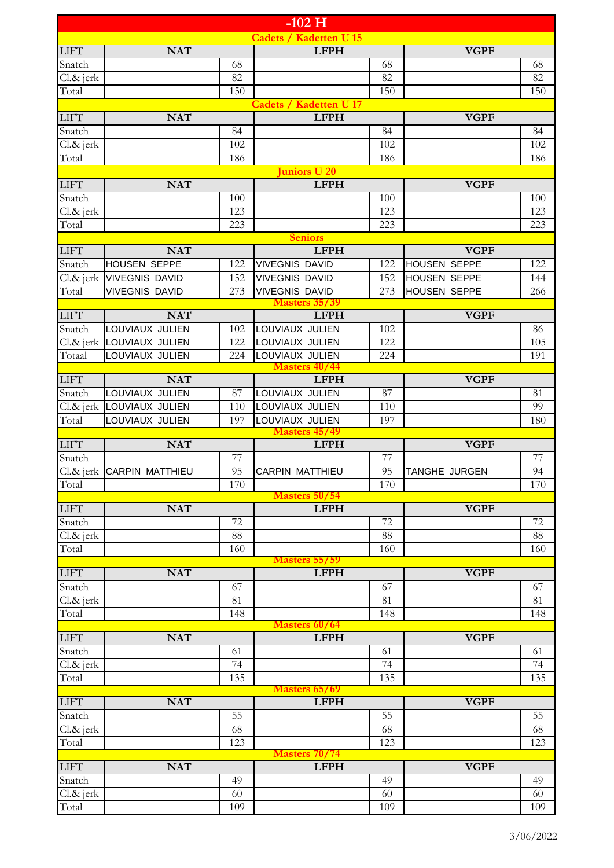|                                 |                                    |                       | $-102$ H                                     |            |                      |          |
|---------------------------------|------------------------------------|-----------------------|----------------------------------------------|------------|----------------------|----------|
|                                 |                                    |                       | <b>Cadets / Kadetten U 15</b>                |            |                      |          |
| <b>LIFT</b>                     | <b>NAT</b>                         |                       | <b>LFPH</b>                                  |            | <b>VGPF</b>          |          |
| Snatch                          |                                    | 68                    |                                              | 68         |                      | 68       |
| $\overline{\text{Cl}}$ . & jerk |                                    | 82                    |                                              | 82         |                      | 82       |
| Total                           |                                    | 150                   |                                              | 150        |                      | 150      |
| <b>LIFT</b>                     | <b>NAT</b>                         |                       | <b>Cadets / Kadetten U 17</b><br><b>LFPH</b> |            | <b>VGPF</b>          |          |
| Snatch                          |                                    | 84                    |                                              | 84         |                      | 84       |
| Cl.& jerk                       |                                    | 102                   |                                              | 102        |                      | 102      |
| Total                           |                                    | 186                   |                                              | 186        |                      | 186      |
|                                 |                                    |                       | <b>Juniors U 20</b>                          |            |                      |          |
| <b>LIFT</b>                     | <b>NAT</b>                         |                       | <b>LFPH</b>                                  |            | <b>VGPF</b>          |          |
| Snatch                          |                                    | 100                   |                                              | 100        |                      | 100      |
| Cl.& jerk                       |                                    | 123                   |                                              | 123        |                      | 123      |
| Total                           |                                    | 223                   | <b>Seniors</b>                               | 223        |                      | 223      |
| <b>LIFT</b>                     | <b>NAT</b>                         |                       | <b>LFPH</b>                                  |            | <b>VGPF</b>          |          |
| Snatch                          | <b>HOUSEN SEPPE</b>                | 122                   | <b>VIVEGNIS DAVID</b>                        | 122        | <b>HOUSEN SEPPE</b>  | 122      |
| Cl.& jerk                       | <b>VIVEGNIS DAVID</b>              | 152                   | <b>VIVEGNIS DAVID</b>                        | 152        | <b>HOUSEN SEPPE</b>  | 144      |
| Total                           | <b>VIVEGNIS DAVID</b>              | 273                   | <b>VIVEGNIS DAVID</b>                        | 273        | <b>HOUSEN SEPPE</b>  | 266      |
| <b>LIFT</b>                     | <b>NAT</b>                         |                       | <b>Masters 35/39</b><br><b>LFPH</b>          |            | <b>VGPF</b>          |          |
| Snatch                          | LOUVIAUX JULIEN                    | 102                   | LOUVIAUX JULIEN                              | 102        |                      | 86       |
| Cl.& jerk                       | LOUVIAUX JULIEN                    | 122                   | LOUVIAUX JULIEN                              | 122        |                      | 105      |
| Totaal                          | LOUVIAUX JULIEN                    | 224                   | LOUVIAUX JULIEN                              | 224        |                      | 191      |
|                                 |                                    |                       | <b>Masters 40/44</b>                         |            |                      |          |
| <b>LIFT</b>                     | <b>NAT</b>                         |                       | <b>LFPH</b>                                  |            | <b>VGPF</b>          |          |
| Snatch                          | LOUVIAUX JULIEN                    | 87                    | LOUVIAUX JULIEN                              | 87         |                      | 81<br>99 |
| Cl.& jerk<br>Total              | LOUVIAUX JULIEN<br>LOUVIAUX JULIEN | 110<br>197            | LOUVIAUX JULIEN<br>LOUVIAUX JULIEN           | 110<br>197 |                      | 180      |
|                                 |                                    |                       | <b>Masters 45/49</b>                         |            |                      |          |
| <b>LIFT</b>                     | <b>NAT</b>                         |                       | <b>LFPH</b>                                  |            | <b>VGPF</b>          |          |
| Snatch                          |                                    | 77                    |                                              | 77         |                      | 77       |
|                                 | Cl.& jerk CARPIN MATTHIEU          | 95                    | CARPIN MATTHIEU                              | 95         | <b>TANGHE JURGEN</b> | 94       |
| Total                           |                                    | 170                   | Masters 50/54                                | 170        |                      | 170      |
| <b>LIFT</b>                     | <b>NAT</b>                         |                       | <b>LFPH</b>                                  |            | <b>VGPF</b>          |          |
| Snatch                          |                                    | 72                    |                                              | 72         |                      | 72       |
| Cl.& jerk                       |                                    | 88                    |                                              | 88         |                      | 88       |
| Total                           |                                    | 160                   |                                              | 160        |                      | 160      |
| <b>LIFT</b>                     | <b>NAT</b>                         |                       | <b>Masters 55/59</b><br><b>LFPH</b>          |            | <b>VGPF</b>          |          |
| Snatch                          |                                    | 67                    |                                              | 67         |                      | 67       |
| Cl.& jerk                       |                                    | 81                    |                                              | 81         |                      | 81       |
| Total                           |                                    | 148                   |                                              | 148        |                      | 148      |
|                                 |                                    |                       | <b>Masters 60/64</b>                         |            |                      |          |
| <b>LIFT</b>                     | <b>NAT</b>                         |                       | <b>LFPH</b>                                  |            | <b>VGPF</b>          |          |
| Snatch<br>Cl.& jerk             |                                    | 61<br>$\overline{74}$ |                                              | 61<br>74   |                      | 61<br>74 |
| Total                           |                                    | 135                   |                                              | 135        |                      | 135      |
|                                 |                                    |                       | <b>Masters 65/69</b>                         |            |                      |          |
| <b>LIFT</b>                     | <b>NAT</b>                         |                       | <b>LFPH</b>                                  |            | <b>VGPF</b>          |          |
| Snatch                          |                                    | $\overline{55}$       |                                              | 55         |                      | 55       |
| Cl.& jerk                       |                                    | 68                    |                                              | 68         |                      | 68       |
| Total                           |                                    | 123                   | <b>Masters 70/74</b>                         | 123        |                      | 123      |
| <b>LIFT</b>                     | <b>NAT</b>                         |                       | <b>LFPH</b>                                  |            | <b>VGPF</b>          |          |
| Snatch                          |                                    | 49                    |                                              | 49         |                      | 49       |
| Cl.& jerk                       |                                    | 60                    |                                              | 60         |                      | 60       |
| Total                           |                                    | 109                   |                                              | 109        |                      | 109      |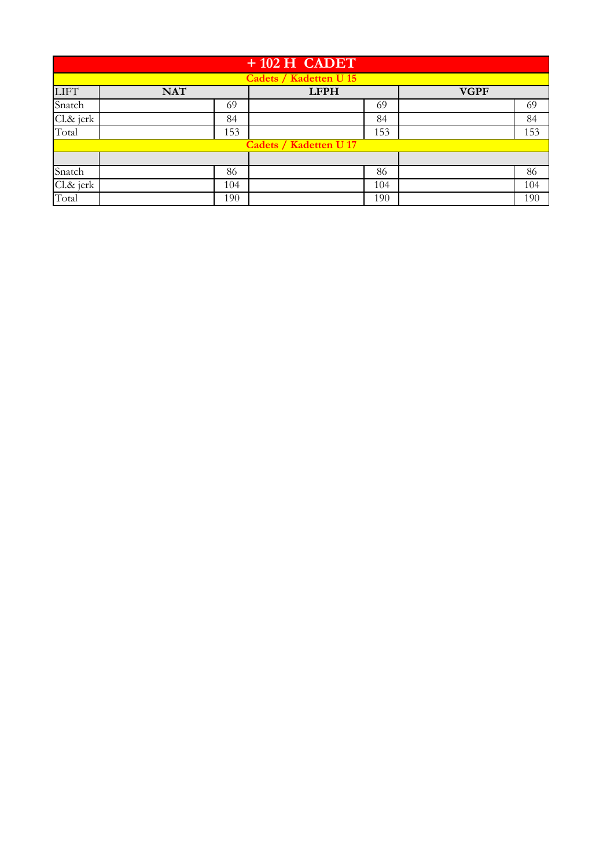|             |            | $+102$ H CADET                |             |
|-------------|------------|-------------------------------|-------------|
|             |            | <b>Cadets / Kadetten U 15</b> |             |
| <b>LIFT</b> | <b>NAT</b> | <b>LFPH</b>                   | <b>VGPF</b> |
| Snatch      | 69         | 69                            | 69          |
| Cl.& jerk   | 84         | 84                            | 84          |
| Total       | 153        | 153                           | 153         |
|             |            | <b>Cadets / Kadetten U 17</b> |             |
|             |            |                               |             |
| Snatch      | 86         | 86                            | 86          |
| Cl.& jerk   | 104        | 104                           | 104         |
| Total       | 190        | 190                           | 190         |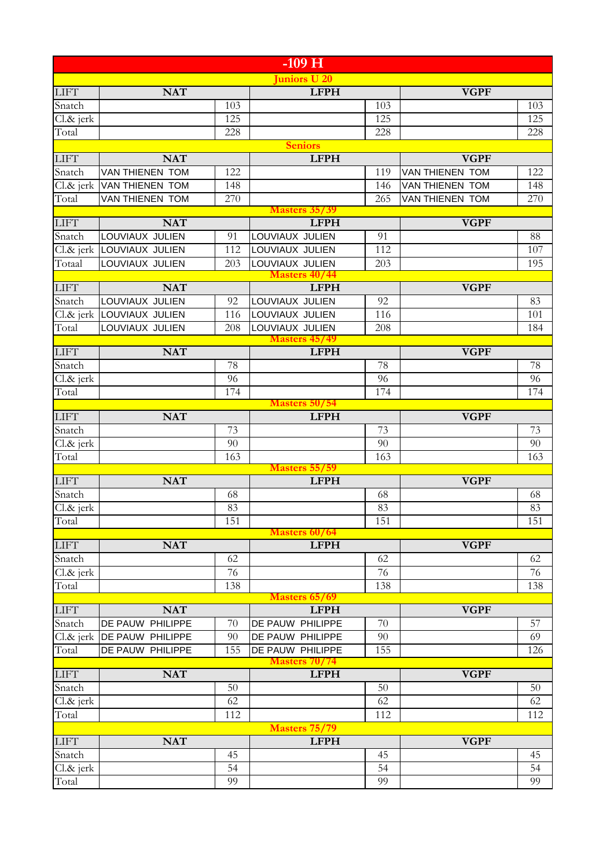|              |                         |     | $-109$ H                            |     |                        |     |
|--------------|-------------------------|-----|-------------------------------------|-----|------------------------|-----|
|              |                         |     | uniors U 20                         |     |                        |     |
| <b>LIFT</b>  | <b>NAT</b>              |     | <b>LFPH</b>                         |     | <b>VGPF</b>            |     |
| Snatch       |                         | 103 |                                     | 103 |                        | 103 |
| Cl.& jerk    |                         | 125 |                                     | 125 |                        | 125 |
| Total        |                         | 228 |                                     | 228 |                        | 228 |
|              |                         |     | <b>Seniors</b>                      |     |                        |     |
| <b>LIFT</b>  | <b>NAT</b>              |     | <b>LFPH</b>                         |     | <b>VGPF</b>            |     |
| Snatch       | VAN THIENEN TOM         | 122 |                                     | 119 | <b>VAN THIENEN TOM</b> | 122 |
| Cl.& jerk    | VAN THIENEN TOM         | 148 |                                     | 146 | VAN THIENEN TOM        | 148 |
| Total        | VAN THIENEN TOM         | 270 |                                     | 265 | VAN THIENEN TOM        | 270 |
|              |                         |     | <b>Masters 35/39</b>                |     |                        |     |
| <b>LIFT</b>  | <b>NAT</b>              |     | <b>LFPH</b>                         |     | <b>VGPF</b>            |     |
| Snatch       | LOUVIAUX JULIEN         | 91  | LOUVIAUX JULIEN                     | 91  |                        | 88  |
| Cl.& jerk    | LOUVIAUX JULIEN         | 112 | LOUVIAUX JULIEN                     | 112 |                        | 107 |
| Totaal       | LOUVIAUX JULIEN         | 203 | LOUVIAUX JULIEN                     | 203 |                        | 195 |
| <b>LIFT</b>  | <b>NAT</b>              |     | <b>Masters 40/44</b><br><b>LFPH</b> |     | <b>VGPF</b>            |     |
| Snatch       | LOUVIAUX JULIEN         | 92  | LOUVIAUX JULIEN                     | 92  |                        | 83  |
| $Cl.\&$ jerk | LOUVIAUX JULIEN         | 116 | LOUVIAUX JULIEN                     | 116 |                        | 101 |
| Total        | LOUVIAUX JULIEN         | 208 | LOUVIAUX JULIEN                     | 208 |                        | 184 |
|              |                         |     | <b>Masters 45/49</b>                |     |                        |     |
| <b>LIFT</b>  | <b>NAT</b>              |     | <b>LFPH</b>                         |     | <b>VGPF</b>            |     |
| Snatch       |                         | 78  |                                     | 78  |                        | 78  |
| Cl.& jerk    |                         | 96  |                                     | 96  |                        | 96  |
| Total        |                         | 174 |                                     | 174 |                        | 174 |
|              |                         |     | <b>Masters 50/54</b>                |     |                        |     |
| <b>LIFT</b>  | <b>NAT</b>              |     | <b>LFPH</b>                         |     | <b>VGPF</b>            |     |
| Snatch       |                         | 73  |                                     | 73  |                        | 73  |
| Cl.& jerk    |                         | 90  |                                     | 90  |                        | 90  |
| Total        |                         | 163 |                                     | 163 |                        | 163 |
|              |                         |     | <b>Masters 55/59</b>                |     |                        |     |
| <b>LIFT</b>  | <b>NAT</b>              |     | <b>LFPH</b>                         |     | <b>VGPF</b>            |     |
| Snatch       |                         | 68  |                                     | 68  |                        | 68  |
| $Cl.\&$ jerk |                         | 83  |                                     | 83  |                        | 83  |
| Total        |                         | 151 | <b>Masters 60/64</b>                | 151 |                        | 151 |
| <b>LIFT</b>  | <b>NAT</b>              |     | <b>LFPH</b>                         |     | <b>VGPF</b>            |     |
| Snatch       |                         | 62  |                                     | 62  |                        | 62  |
| Cl.& jerk    |                         | 76  |                                     | 76  |                        | 76  |
| Total        |                         | 138 |                                     | 138 |                        | 138 |
|              |                         |     | Masters 65/69                       |     |                        |     |
| <b>LIFT</b>  | <b>NAT</b>              |     | <b>LFPH</b>                         |     | <b>VGPF</b>            |     |
| Snatch       | DE PAUW PHILIPPE        | 70  | DE PAUW PHILIPPE                    | 70  |                        | 57  |
| Cl.& jerk    | <b>DE PAUW PHILIPPE</b> | 90  | DE PAUW PHILIPPE                    | 90  |                        | 69  |
| Total        | DE PAUW PHILIPPE        | 155 | DE PAUW PHILIPPE                    | 155 |                        | 126 |
|              |                         |     | <b>Masters 70/74</b>                |     |                        |     |
| <b>LIFT</b>  | <b>NAT</b>              |     | <b>LFPH</b>                         |     | <b>VGPF</b>            |     |
| Snatch       |                         | 50  |                                     | 50  |                        | 50  |
| Cl.& jerk    |                         | 62  |                                     | 62  |                        | 62  |
| Total        |                         | 112 |                                     | 112 |                        | 112 |
|              |                         |     | <b>Masters 75/79</b>                |     |                        |     |
| <b>LIFT</b>  | <b>NAT</b>              |     | <b>LFPH</b>                         |     | <b>VGPF</b>            |     |
| Snatch       |                         | 45  |                                     | 45  |                        | 45  |
| Cl.& jerk    |                         | 54  |                                     | 54  |                        | 54  |
| Total        |                         | 99  |                                     | 99  |                        | 99  |